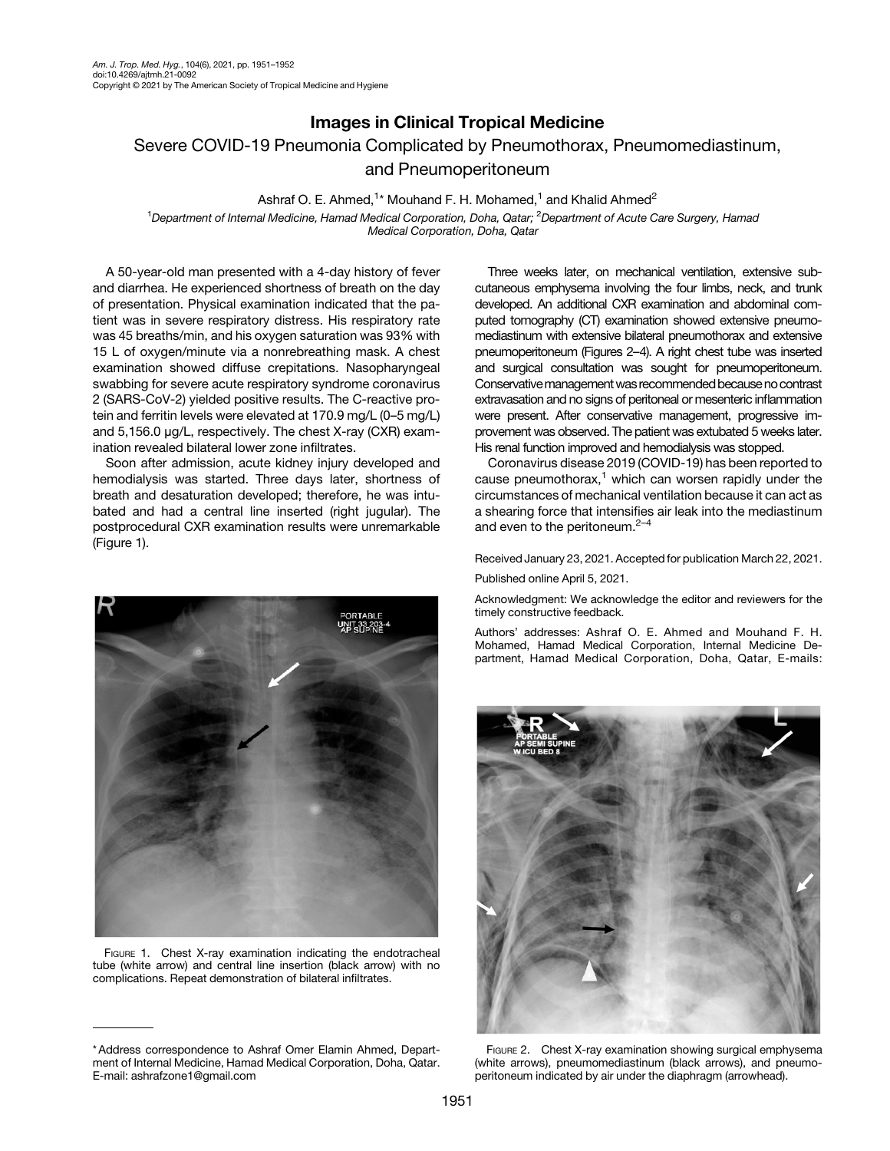## Images in Clinical Tropical Medicine Severe COVID-19 Pneumonia Complicated by Pneumothorax, Pneumomediastinum, and Pneumoperitoneum

Ashraf O. E. Ahmed,<sup>1</sup>\* Mouhand F. H. Mohamed,<sup>1</sup> and Khalid Ahmed<sup>2</sup>

<sup>1</sup>Department of Internal Medicine, Hamad Medical Corporation, Doha, Qatar; <sup>2</sup>Department of Acute Care Surgery, Hamad Medical Corporation, Doha, Qatar

A 50-year-old man presented with a 4-day history of fever and diarrhea. He experienced shortness of breath on the day of presentation. Physical examination indicated that the patient was in severe respiratory distress. His respiratory rate was 45 breaths/min, and his oxygen saturation was 93% with 15 L of oxygen/minute via a nonrebreathing mask. A chest examination showed diffuse crepitations. Nasopharyngeal swabbing for severe acute respiratory syndrome coronavirus 2 (SARS-CoV-2) yielded positive results. The C-reactive protein and ferritin levels were elevated at 170.9 mg/L (0–5 mg/L) and 5,156.0 μg/L, respectively. The chest X-ray (CXR) examination revealed bilateral lower zone infiltrates.

Soon after admission, acute kidney injury developed and hemodialysis was started. Three days later, shortness of breath and desaturation developed; therefore, he was intubated and had a central line inserted (right jugular). The postprocedural CXR examination results were unremarkable (Figure 1).



FIGURE 1. Chest X-ray examination indicating the endotracheal tube (white arrow) and central line insertion (black arrow) with no complications. Repeat demonstration of bilateral infiltrates.

Three weeks later, on mechanical ventilation, extensive subcutaneous emphysema involving the four limbs, neck, and trunk developed. An additional CXR examination and abdominal computed tomography (CT) examination showed extensive pneumomediastinum with extensive bilateral pneumothorax and extensive pneumoperitoneum (Figures 2–[4\)](#page-1-0). A right chest tube was inserted and surgical consultation was sought for pneumoperitoneum. Conservative management was recommended because no contrast extravasation and no signs of peritoneal or mesenteric inflammation were present. After conservative management, progressive improvement was observed. The patient was extubated 5 weeks later. His renal function improved and hemodialysis was stopped.

Coronavirus disease 2019 (COVID-19) has been reported to cause pneumothorax, $<sup>1</sup>$  $<sup>1</sup>$  $<sup>1</sup>$  which can worsen rapidly under the</sup> circumstances of mechanical ventilation because it can act as a shearing force that intensifies air leak into the mediastinum and even to the peritoneum.<sup>[2](#page-1-0)-[4](#page-1-0)</sup>

Received January 23, 2021. Accepted for publication March 22, 2021.

Published online April 5, 2021.

Acknowledgment: We acknowledge the editor and reviewers for the timely constructive feedback.

Authors' addresses: Ashraf O. E. Ahmed and Mouhand F. H. Mohamed, Hamad Medical Corporation, Internal Medicine Department, Hamad Medical Corporation, Doha, Qatar, E-mails:



FIGURE 2. Chest X-ray examination showing surgical emphysema (white arrows), pneumomediastinum (black arrows), and pneumoperitoneum indicated by air under the diaphragm (arrowhead).

<sup>\*</sup> Address correspondence to Ashraf Omer Elamin Ahmed, Department of Internal Medicine, Hamad Medical Corporation, Doha, Qatar. E-mail: [ashrafzone1@gmail.com](mailto:ashrafzone1@gmail.com)